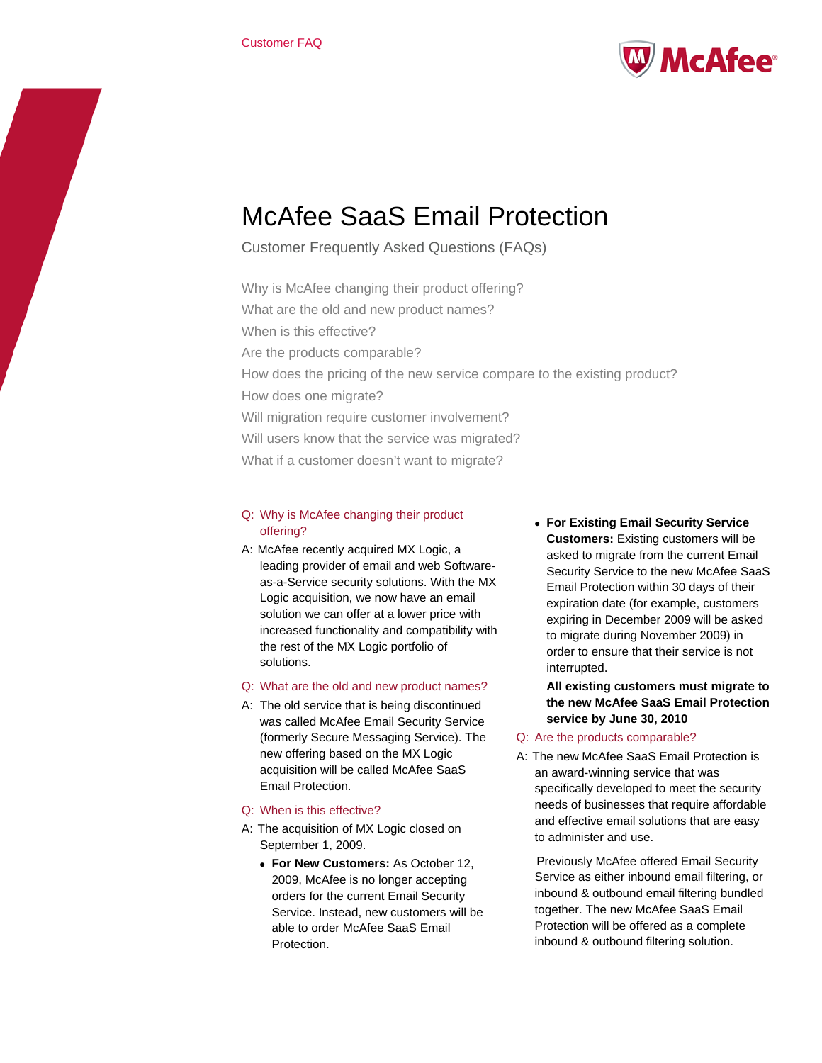

# McAfee SaaS Email Protection

Customer Frequently Asked Questions (FAQs)

Why is McAfee changing their product offering? What are the old and new product names? When is this effective? Are the products comparable? How does the pricing of the new service compare to the existing product? How does one migrate? Will migration require customer involvement? Will users know that the service was migrated? What if a customer doesn't want to migrate?

### Q: Why is McAfee changing their product offering?

- A: McAfee recently acquired MX Logic, a leading provider of email and web Softwareas-a-Service security solutions. With the MX Logic acquisition, we now have an email solution we can offer at a lower price with increased functionality and compatibility with the rest of the MX Logic portfolio of solutions.
- Q: What are the old and new product names?
- A: The old service that is being discontinued was called McAfee Email Security Service (formerly Secure Messaging Service). The new offering based on the MX Logic acquisition will be called McAfee SaaS Email Protection.
- Q: When is this effective?
- A: The acquisition of MX Logic closed on September 1, 2009.
	- **For New Customers:** As October 12, 2009, McAfee is no longer accepting orders for the current Email Security Service. Instead, new customers will be able to order McAfee SaaS Email **Protection**

• **For Existing Email Security Service Customers:** Existing customers will be asked to migrate from the current Email Security Service to the new McAfee SaaS Email Protection within 30 days of their expiration date (for example, customers expiring in December 2009 will be asked to migrate during November 2009) in order to ensure that their service is not interrupted.

**All existing customers must migrate to the new McAfee SaaS Email Protection service by June 30, 2010**

## Q: Are the products comparable?

A: The new McAfee SaaS Email Protection is an award-winning service that was specifically developed to meet the security needs of businesses that require affordable and effective email solutions that are easy to administer and use.

 Previously McAfee offered Email Security Service as either inbound email filtering, or inbound & outbound email filtering bundled together. The new McAfee SaaS Email Protection will be offered as a complete inbound & outbound filtering solution.